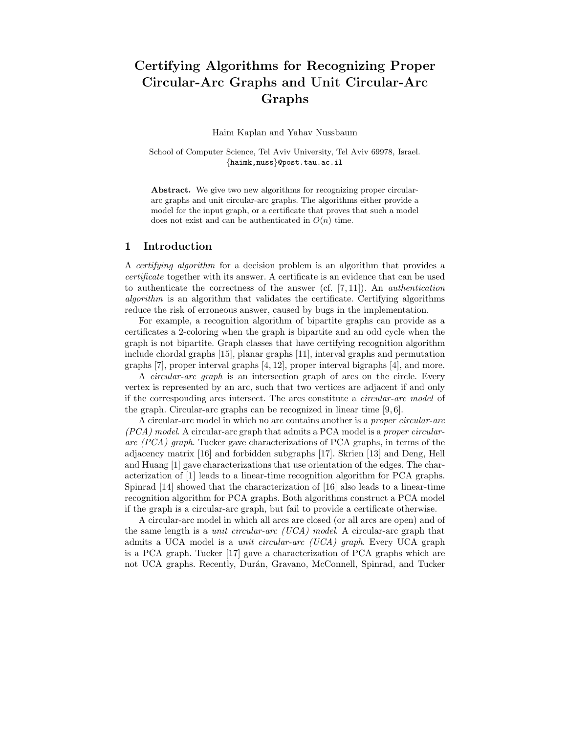# Certifying Algorithms for Recognizing Proper Circular-Arc Graphs and Unit Circular-Arc Graphs

Haim Kaplan and Yahav Nussbaum

School of Computer Science, Tel Aviv University, Tel Aviv 69978, Israel. {haimk,nuss}@post.tau.ac.il

Abstract. We give two new algorithms for recognizing proper circulararc graphs and unit circular-arc graphs. The algorithms either provide a model for the input graph, or a certificate that proves that such a model does not exist and can be authenticated in  $O(n)$  time.

# 1 Introduction

A certifying algorithm for a decision problem is an algorithm that provides a certificate together with its answer. A certificate is an evidence that can be used to authenticate the correctness of the answer (cf. [7, 11]). An authentication algorithm is an algorithm that validates the certificate. Certifying algorithms reduce the risk of erroneous answer, caused by bugs in the implementation.

For example, a recognition algorithm of bipartite graphs can provide as a certificates a 2-coloring when the graph is bipartite and an odd cycle when the graph is not bipartite. Graph classes that have certifying recognition algorithm include chordal graphs [15], planar graphs [11], interval graphs and permutation graphs [7], proper interval graphs [4, 12], proper interval bigraphs [4], and more.

A circular-arc graph is an intersection graph of arcs on the circle. Every vertex is represented by an arc, such that two vertices are adjacent if and only if the corresponding arcs intersect. The arcs constitute a circular-arc model of the graph. Circular-arc graphs can be recognized in linear time [9, 6].

A circular-arc model in which no arc contains another is a proper circular-arc (PCA) model. A circular-arc graph that admits a PCA model is a proper circulararc (PCA) graph. Tucker gave characterizations of PCA graphs, in terms of the adjacency matrix [16] and forbidden subgraphs [17]. Skrien [13] and Deng, Hell and Huang [1] gave characterizations that use orientation of the edges. The characterization of [1] leads to a linear-time recognition algorithm for PCA graphs. Spinrad [14] showed that the characterization of [16] also leads to a linear-time recognition algorithm for PCA graphs. Both algorithms construct a PCA model if the graph is a circular-arc graph, but fail to provide a certificate otherwise.

A circular-arc model in which all arcs are closed (or all arcs are open) and of the same length is a unit circular-arc (UCA) model. A circular-arc graph that admits a UCA model is a *unit circular-arc (UCA) graph*. Every UCA graph is a PCA graph. Tucker [17] gave a characterization of PCA graphs which are not UCA graphs. Recently, Durán, Gravano, McConnell, Spinrad, and Tucker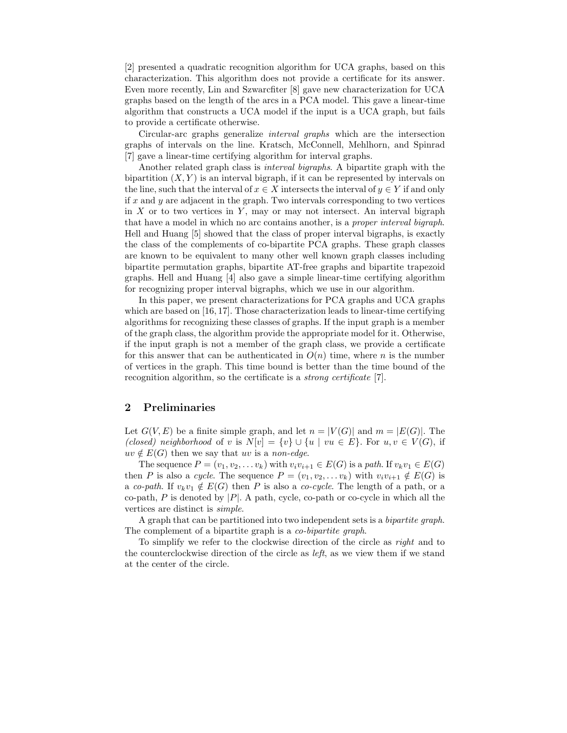[2] presented a quadratic recognition algorithm for UCA graphs, based on this characterization. This algorithm does not provide a certificate for its answer. Even more recently, Lin and Szwarcfiter [8] gave new characterization for UCA graphs based on the length of the arcs in a PCA model. This gave a linear-time algorithm that constructs a UCA model if the input is a UCA graph, but fails to provide a certificate otherwise.

Circular-arc graphs generalize interval graphs which are the intersection graphs of intervals on the line. Kratsch, McConnell, Mehlhorn, and Spinrad [7] gave a linear-time certifying algorithm for interval graphs.

Another related graph class is interval bigraphs. A bipartite graph with the bipartition  $(X, Y)$  is an interval bigraph, if it can be represented by intervals on the line, such that the interval of  $x \in X$  intersects the interval of  $y \in Y$  if and only if  $x$  and  $y$  are adjacent in the graph. Two intervals corresponding to two vertices in  $X$  or to two vertices in  $Y$ , may or may not intersect. An interval bigraph that have a model in which no arc contains another, is a proper interval bigraph. Hell and Huang [5] showed that the class of proper interval bigraphs, is exactly the class of the complements of co-bipartite PCA graphs. These graph classes are known to be equivalent to many other well known graph classes including bipartite permutation graphs, bipartite AT-free graphs and bipartite trapezoid graphs. Hell and Huang [4] also gave a simple linear-time certifying algorithm for recognizing proper interval bigraphs, which we use in our algorithm.

In this paper, we present characterizations for PCA graphs and UCA graphs which are based on [16, 17]. Those characterization leads to linear-time certifying algorithms for recognizing these classes of graphs. If the input graph is a member of the graph class, the algorithm provide the appropriate model for it. Otherwise, if the input graph is not a member of the graph class, we provide a certificate for this answer that can be authenticated in  $O(n)$  time, where n is the number of vertices in the graph. This time bound is better than the time bound of the recognition algorithm, so the certificate is a *strong certificate* [7].

# 2 Preliminaries

Let  $G(V, E)$  be a finite simple graph, and let  $n = |V(G)|$  and  $m = |E(G)|$ . The (closed) neighborhood of v is  $N[v] = \{v\} \cup \{u \mid vu \in E\}$ . For  $u, v \in V(G)$ , if  $uv \notin E(G)$  then we say that uv is a non-edge.

The sequence  $P = (v_1, v_2, \dots v_k)$  with  $v_i v_{i+1} \in E(G)$  is a path. If  $v_k v_1 \in E(G)$ then P is also a cycle. The sequence  $P = (v_1, v_2, \ldots v_k)$  with  $v_i v_{i+1} \notin E(G)$  is a co-path. If  $v_kv_1 \notin E(G)$  then P is also a co-cycle. The length of a path, or a co-path, P is denoted by  $|P|$ . A path, cycle, co-path or co-cycle in which all the vertices are distinct is simple.

A graph that can be partitioned into two independent sets is a bipartite graph. The complement of a bipartite graph is a *co-bipartite graph*.

To simplify we refer to the clockwise direction of the circle as right and to the counterclockwise direction of the circle as left, as we view them if we stand at the center of the circle.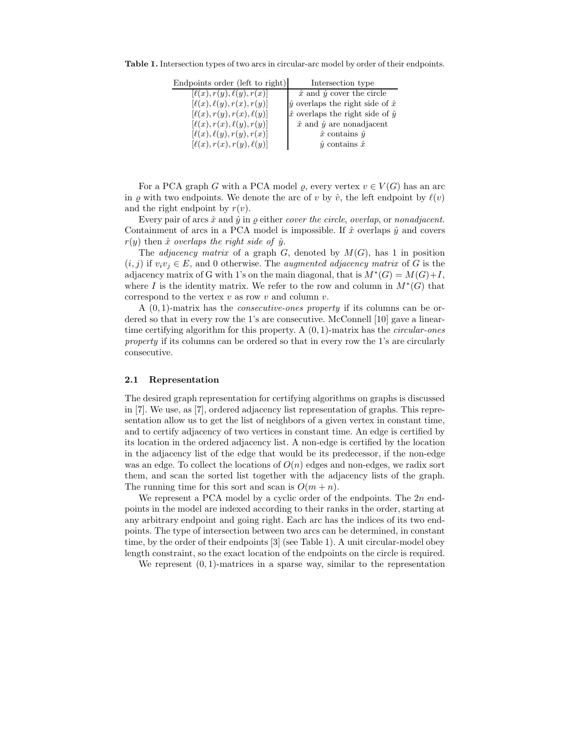Table 1. Intersection types of two arcs in circular-arc model by order of their endpoints.

| Endpoints order (left to right)  | Intersection type                              |
|----------------------------------|------------------------------------------------|
| $[\ell(x), r(y), \ell(y), r(x)]$ | $\hat{x}$ and $\hat{y}$ cover the circle       |
| $[\ell(x), \ell(y), r(x), r(y)]$ | $\hat{y}$ overlaps the right side of $\hat{x}$ |
| $[\ell(x), r(y), r(x), \ell(y)]$ | $\hat{x}$ overlaps the right side of $\hat{y}$ |
| $[\ell(x), r(x), \ell(y), r(y)]$ | $\hat{x}$ and $\hat{y}$ are nonadjacent        |
| $[\ell(x), \ell(y), r(y), r(x)]$ | $\hat{x}$ contains $\hat{y}$                   |
| $[\ell(x), r(x), r(y), \ell(y)]$ | $\hat{y}$ contains $\hat{x}$                   |

For a PCA graph G with a PCA model  $\varrho$ , every vertex  $v \in V(G)$  has an arc in  $\varrho$  with two endpoints. We denote the arc of v by  $\hat{v}$ , the left endpoint by  $\ell(v)$ and the right endpoint by  $r(v)$ .

Every pair of arcs  $\hat{x}$  and  $\hat{y}$  in  $\rho$  either *cover the circle, overlap,* or *nonadjacent.* Containment of arcs in a PCA model is impossible. If  $\hat{x}$  overlaps  $\hat{y}$  and covers  $r(y)$  then  $\hat{x}$  overlaps the right side of  $\hat{y}$ .

The *adjacency matrix* of a graph  $G$ , denoted by  $M(G)$ , has 1 in position  $(i, j)$  if  $v_i v_j \in E$ , and 0 otherwise. The *augmented adjacency matrix* of G is the adjacency matrix of G with 1's on the main diagonal, that is  $M^*(G) = M(G) + I$ , where I is the identity matrix. We refer to the row and column in  $M^*(G)$  that correspond to the vertex  $v$  as row  $v$  and column  $v$ .

A  $(0, 1)$ -matrix has the *consecutive-ones property* if its columns can be ordered so that in every row the 1's are consecutive. McConnell [10] gave a lineartime certifying algorithm for this property. A  $(0, 1)$ -matrix has the *circular-ones* property if its columns can be ordered so that in every row the 1's are circularly consecutive.

#### 2.1 Representation

The desired graph representation for certifying algorithms on graphs is discussed in [7]. We use, as [7], ordered adjacency list representation of graphs. This representation allow us to get the list of neighbors of a given vertex in constant time, and to certify adjacency of two vertices in constant time. An edge is certified by its location in the ordered adjacency list. A non-edge is certified by the location in the adjacency list of the edge that would be its predecessor, if the non-edge was an edge. To collect the locations of  $O(n)$  edges and non-edges, we radix sort them, and scan the sorted list together with the adjacency lists of the graph. The running time for this sort and scan is  $O(m + n)$ .

We represent a PCA model by a cyclic order of the endpoints. The  $2n$  endpoints in the model are indexed according to their ranks in the order, starting at any arbitrary endpoint and going right. Each arc has the indices of its two endpoints. The type of intersection between two arcs can be determined, in constant time, by the order of their endpoints [3] (see Table 1). A unit circular-model obey length constraint, so the exact location of the endpoints on the circle is required.

We represent  $(0, 1)$ -matrices in a sparse way, similar to the representation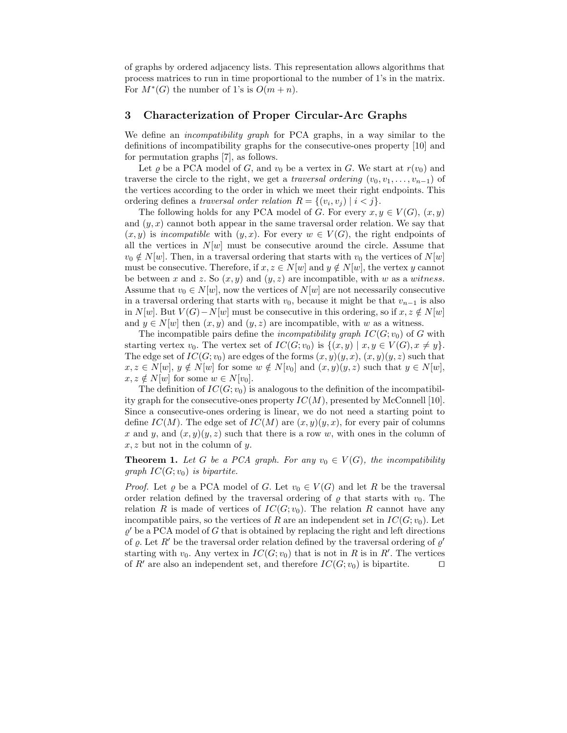of graphs by ordered adjacency lists. This representation allows algorithms that process matrices to run in time proportional to the number of 1's in the matrix. For  $M^*(G)$  the number of 1's is  $O(m+n)$ .

## 3 Characterization of Proper Circular-Arc Graphs

We define an *incompatibility graph* for PCA graphs, in a way similar to the definitions of incompatibility graphs for the consecutive-ones property [10] and for permutation graphs [7], as follows.

Let  $\varrho$  be a PCA model of G, and  $v_0$  be a vertex in G. We start at  $r(v_0)$  and traverse the circle to the right, we get a traversal ordering  $(v_0, v_1, \ldots, v_{n-1})$  of the vertices according to the order in which we meet their right endpoints. This ordering defines a *traversal order relation*  $R = \{(v_i, v_j) \mid i < j\}.$ 

The following holds for any PCA model of G. For every  $x, y \in V(G)$ ,  $(x, y)$ and  $(y, x)$  cannot both appear in the same traversal order relation. We say that  $(x, y)$  is incompatible with  $(y, x)$ . For every  $w \in V(G)$ , the right endpoints of all the vertices in  $N[w]$  must be consecutive around the circle. Assume that  $v_0 \notin N[w]$ . Then, in a traversal ordering that starts with  $v_0$  the vertices of  $N[w]$ must be consecutive. Therefore, if  $x, z \in N[w]$  and  $y \notin N[w]$ , the vertex y cannot be between x and z. So  $(x, y)$  and  $(y, z)$  are incompatible, with w as a witness. Assume that  $v_0 \in N[w]$ , now the vertices of  $N[w]$  are not necessarily consecutive in a traversal ordering that starts with  $v_0$ , because it might be that  $v_{n-1}$  is also in N[w]. But  $V(G) - N[w]$  must be consecutive in this ordering, so if  $x, z \notin N[w]$ and  $y \in N[w]$  then  $(x, y)$  and  $(y, z)$  are incompatible, with w as a witness.

The incompatible pairs define the *incompatibility graph*  $IC(G; v_0)$  of G with starting vertex  $v_0$ . The vertex set of  $IC(G; v_0)$  is  $\{(x, y) | x, y \in V(G), x \neq y\}.$ The edge set of  $IC(G; v_0)$  are edges of the forms  $(x, y)(y, x), (x, y)(y, z)$  such that  $x, z \in N[w], y \notin N[w]$  for some  $w \notin N[v_0]$  and  $(x, y)(y, z)$  such that  $y \in N[w],$  $x, z \notin N[w]$  for some  $w \in N[v_0]$ .

The definition of  $IC(G; v_0)$  is analogous to the definition of the incompatibility graph for the consecutive-ones property  $IC(M)$ , presented by McConnell [10]. Since a consecutive-ones ordering is linear, we do not need a starting point to define  $IC(M)$ . The edge set of  $IC(M)$  are  $(x, y)(y, x)$ , for every pair of columns x and y, and  $(x, y)(y, z)$  such that there is a row w, with ones in the column of  $x, z$  but not in the column of  $y$ .

**Theorem 1.** Let G be a PCA graph. For any  $v_0 \in V(G)$ , the incompatibility qraph  $IC(G; v_0)$  is bipartite.

*Proof.* Let  $\varrho$  be a PCA model of G. Let  $v_0 \in V(G)$  and let R be the traversal order relation defined by the traversal ordering of  $\rho$  that starts with  $v_0$ . The relation R is made of vertices of  $IC(G; v_0)$ . The relation R cannot have any incompatible pairs, so the vertices of R are an independent set in  $IC(G; v_0)$ . Let  $\varrho'$  be a PCA model of G that is obtained by replacing the right and left directions of  $\varrho$ . Let R' be the traversal order relation defined by the traversal ordering of  $\varrho'$ starting with  $v_0$ . Any vertex in  $IC(G; v_0)$  that is not in R is in R'. The vertices of R' are also an independent set, and therefore  $IC(G; v_0)$  is bipartite.  $\Box$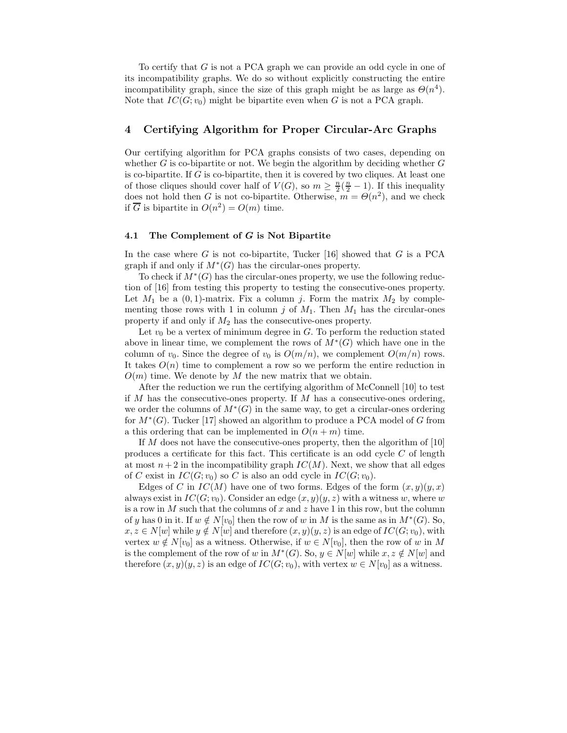To certify that G is not a PCA graph we can provide an odd cycle in one of its incompatibility graphs. We do so without explicitly constructing the entire incompatibility graph, since the size of this graph might be as large as  $\Theta(n^4)$ . Note that  $IC(G; v_0)$  might be bipartite even when G is not a PCA graph.

# 4 Certifying Algorithm for Proper Circular-Arc Graphs

Our certifying algorithm for PCA graphs consists of two cases, depending on whether  $G$  is co-bipartite or not. We begin the algorithm by deciding whether  $G$ is co-bipartite. If  $G$  is co-bipartite, then it is covered by two cliques. At least one of those cliques should cover half of  $V(G)$ , so  $m \geq \frac{n}{2}(\frac{n}{2}-1)$ . If this inequality does not hold then G is not co-bipartite. Otherwise,  $m = \Theta(n^2)$ , and we check if  $\overline{G}$  is bipartite in  $O(n^2) = O(m)$  time.

#### 4.1 The Complement of G is Not Bipartite

In the case where G is not co-bipartite, Tucker  $[16]$  showed that G is a PCA graph if and only if  $M^*(G)$  has the circular-ones property.

To check if  $\dot{M}^*(G)$  has the circular-ones property, we use the following reduction of [16] from testing this property to testing the consecutive-ones property. Let  $M_1$  be a  $(0, 1)$ -matrix. Fix a column j. Form the matrix  $M_2$  by complementing those rows with 1 in column j of  $M_1$ . Then  $M_1$  has the circular-ones property if and only if  $M_2$  has the consecutive-ones property.

Let  $v_0$  be a vertex of minimum degree in G. To perform the reduction stated above in linear time, we complement the rows of  $\overline{M}^*(G)$  which have one in the column of  $v_0$ . Since the degree of  $v_0$  is  $O(m/n)$ , we complement  $O(m/n)$  rows. It takes  $O(n)$  time to complement a row so we perform the entire reduction in  $O(m)$  time. We denote by M the new matrix that we obtain.

After the reduction we run the certifying algorithm of McConnell [10] to test if M has the consecutive-ones property. If M has a consecutive-ones ordering, we order the columns of  $M^*(G)$  in the same way, to get a circular-ones ordering for  $M^*(G)$ . Tucker [17] showed an algorithm to produce a PCA model of G from a this ordering that can be implemented in  $O(n+m)$  time.

If  $M$  does not have the consecutive-ones property, then the algorithm of [10] produces a certificate for this fact. This certificate is an odd cycle  $C$  of length at most  $n+2$  in the incompatibility graph  $IC(M)$ . Next, we show that all edges of C exist in  $IC(G; v_0)$  so C is also an odd cycle in  $IC(G; v_0)$ .

Edges of C in  $IC(M)$  have one of two forms. Edges of the form  $(x, y)(y, x)$ always exist in  $IC(G; v_0)$ . Consider an edge  $(x, y)(y, z)$  with a witness w, where w is a row in  $M$  such that the columns of  $x$  and  $z$  have 1 in this row, but the column of y has 0 in it. If  $w \notin N[v_0]$  then the row of w in M is the same as in  $M^*(G)$ . So,  $x, z \in N[w]$  while  $y \notin N[w]$  and therefore  $(x, y)(y, z)$  is an edge of  $IC(G; v_0)$ , with vertex  $w \notin N[v_0]$  as a witness. Otherwise, if  $w \in N[v_0]$ , then the row of w in M is the complement of the row of w in  $M^*(G)$ . So,  $y \in N[w]$  while  $x, z \notin N[w]$  and therefore  $(x, y)(y, z)$  is an edge of  $IC(G; v_0)$ , with vertex  $w \in N[v_0]$  as a witness.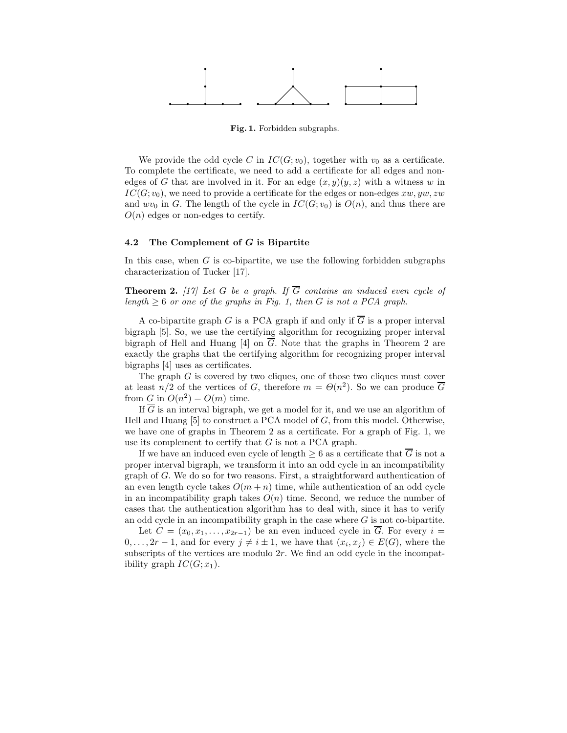

Fig. 1. Forbidden subgraphs.

We provide the odd cycle C in  $IC(G; v_0)$ , together with  $v_0$  as a certificate. To complete the certificate, we need to add a certificate for all edges and nonedges of G that are involved in it. For an edge  $(x, y)(y, z)$  with a witness w in  $IC(G; v_0)$ , we need to provide a certificate for the edges or non-edges  $xw, yw, zw$ and  $wv_0$  in G. The length of the cycle in  $IC(G; v_0)$  is  $O(n)$ , and thus there are  $O(n)$  edges or non-edges to certify.

### 4.2 The Complement of G is Bipartite

In this case, when  $G$  is co-bipartite, we use the following forbidden subgraphs characterization of Tucker [17].

**Theorem 2.** [17] Let G be a graph. If  $\overline{G}$  contains an induced even cycle of length  $\geq 6$  or one of the graphs in Fig. 1, then G is not a PCA graph.

A co-bipartite graph G is a PCA graph if and only if  $\overline{G}$  is a proper interval bigraph [5]. So, we use the certifying algorithm for recognizing proper interval bigraph of Hell and Huang [4] on G. Note that the graphs in Theorem 2 are exactly the graphs that the certifying algorithm for recognizing proper interval bigraphs [4] uses as certificates.

The graph G is covered by two cliques, one of those two cliques must cover at least  $n/2$  of the vertices of G, therefore  $m = \Theta(n^2)$ . So we can produce  $\overline{G}$ from G in  $O(n^2) = O(m)$  time.

If  $\overline{G}$  is an interval bigraph, we get a model for it, and we use an algorithm of Hell and Huang  $[5]$  to construct a PCA model of G, from this model. Otherwise, we have one of graphs in Theorem 2 as a certificate. For a graph of Fig. 1, we use its complement to certify that  $G$  is not a PCA graph.

If we have an induced even cycle of length  $\geq 6$  as a certificate that  $\overline{G}$  is not a proper interval bigraph, we transform it into an odd cycle in an incompatibility graph of G. We do so for two reasons. First, a straightforward authentication of an even length cycle takes  $O(m + n)$  time, while authentication of an odd cycle in an incompatibility graph takes  $O(n)$  time. Second, we reduce the number of cases that the authentication algorithm has to deal with, since it has to verify an odd cycle in an incompatibility graph in the case where  $G$  is not co-bipartite.

Let  $C = (x_0, x_1, \ldots, x_{2r-1})$  be an even induced cycle in  $\overline{G}$ . For every  $i =$  $0, \ldots, 2r-1$ , and for every  $j \neq i \pm 1$ , we have that  $(x_i, x_j) \in E(G)$ , where the subscripts of the vertices are modulo  $2r$ . We find an odd cycle in the incompatibility graph  $IC(G; x_1)$ .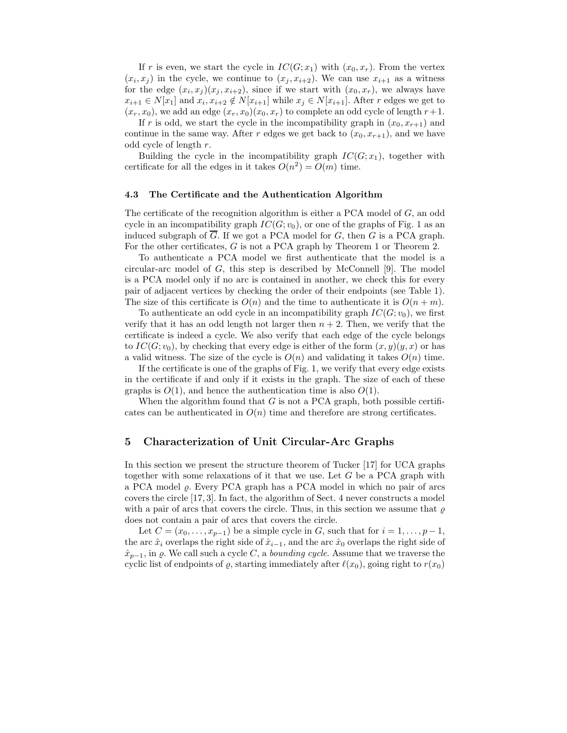If r is even, we start the cycle in  $IC(G; x_1)$  with  $(x_0, x_r)$ . From the vertex  $(x_i, x_j)$  in the cycle, we continue to  $(x_j, x_{i+2})$ . We can use  $x_{i+1}$  as a witness for the edge  $(x_i, x_j)(x_j, x_{i+2})$ , since if we start with  $(x_0, x_r)$ , we always have  $x_{i+1} \in N[x_1]$  and  $x_i, x_{i+2} \notin N[x_{i+1}]$  while  $x_j \in N[x_{i+1}]$ . After r edges we get to  $(x_r, x_0)$ , we add an edge  $(x_r, x_0)(x_0, x_r)$  to complete an odd cycle of length  $r+1$ .

If r is odd, we start the cycle in the incompatibility graph in  $(x_0, x_{r+1})$  and continue in the same way. After r edges we get back to  $(x_0, x_{r+1})$ , and we have odd cycle of length r.

Building the cycle in the incompatibility graph  $IC(G; x_1)$ , together with certificate for all the edges in it takes  $O(n^2) = O(m)$  time.

#### 4.3 The Certificate and the Authentication Algorithm

The certificate of the recognition algorithm is either a PCA model of  $G$ , an odd cycle in an incompatibility graph  $IC(G; v_0)$ , or one of the graphs of Fig. 1 as an induced subgraph of  $\overline{G}$ . If we got a PCA model for G, then G is a PCA graph. For the other certificates, G is not a PCA graph by Theorem 1 or Theorem 2.

To authenticate a PCA model we first authenticate that the model is a circular-arc model of  $G$ , this step is described by McConnell [9]. The model is a PCA model only if no arc is contained in another, we check this for every pair of adjacent vertices by checking the order of their endpoints (see Table 1). The size of this certificate is  $O(n)$  and the time to authenticate it is  $O(n + m)$ .

To authenticate an odd cycle in an incompatibility graph  $IC(G; v_0)$ , we first verify that it has an odd length not larger then  $n + 2$ . Then, we verify that the certificate is indeed a cycle. We also verify that each edge of the cycle belongs to  $IC(G; v_0)$ , by checking that every edge is either of the form  $(x, y)(y, x)$  or has a valid witness. The size of the cycle is  $O(n)$  and validating it takes  $O(n)$  time.

If the certificate is one of the graphs of Fig. 1, we verify that every edge exists in the certificate if and only if it exists in the graph. The size of each of these graphs is  $O(1)$ , and hence the authentication time is also  $O(1)$ .

When the algorithm found that  $G$  is not a PCA graph, both possible certificates can be authenticated in  $O(n)$  time and therefore are strong certificates.

# 5 Characterization of Unit Circular-Arc Graphs

In this section we present the structure theorem of Tucker [17] for UCA graphs together with some relaxations of it that we use. Let G be a PCA graph with a PCA model  $\rho$ . Every PCA graph has a PCA model in which no pair of arcs covers the circle [17, 3]. In fact, the algorithm of Sect. 4 never constructs a model with a pair of arcs that covers the circle. Thus, in this section we assume that  $\varrho$ does not contain a pair of arcs that covers the circle.

Let  $C = (x_0, \ldots, x_{p-1})$  be a simple cycle in G, such that for  $i = 1, \ldots, p-1$ , the arc  $\hat{x}_i$  overlaps the right side of  $\hat{x}_{i-1}$ , and the arc  $\hat{x}_0$  overlaps the right side of  $\hat{x}_{p-1}$ , in  $\varrho$ . We call such a cycle C, a *bounding cycle*. Assume that we traverse the cyclic list of endpoints of  $\varrho$ , starting immediately after  $\ell(x_0)$ , going right to  $r(x_0)$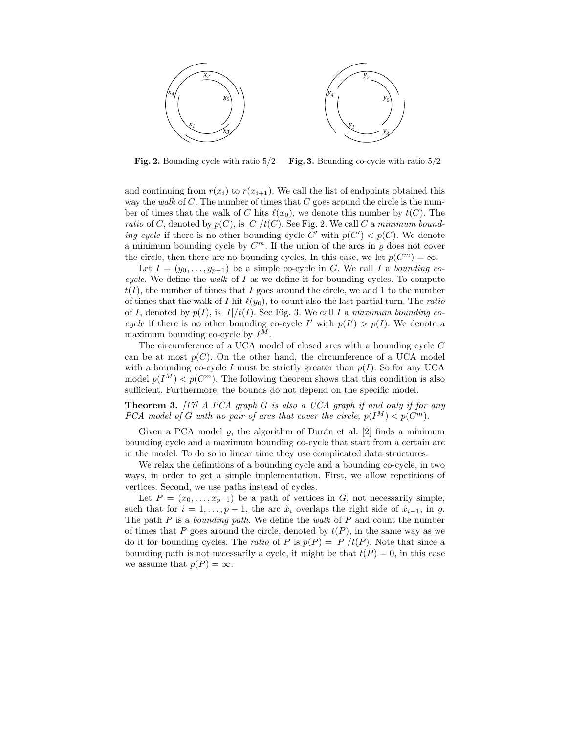

Fig. 2. Bounding cycle with ratio 5/2 Fig. 3. Bounding co-cycle with ratio 5/2

and continuing from  $r(x_i)$  to  $r(x_{i+1})$ . We call the list of endpoints obtained this way the walk of C. The number of times that C goes around the circle is the number of times that the walk of C hits  $\ell(x_0)$ , we denote this number by  $t(C)$ . The ratio of C, denoted by  $p(C)$ , is  $|C|/t(C)$ . See Fig. 2. We call C a minimum bounding cycle if there is no other bounding cycle C' with  $p(C') < p(C)$ . We denote a minimum bounding cycle by  $C^m$ . If the union of the arcs in  $\varrho$  does not cover the circle, then there are no bounding cycles. In this case, we let  $p(C^m) = \infty$ .

Let  $I = (y_0, \ldots, y_{p-1})$  be a simple co-cycle in G. We call I a bounding cocycle. We define the walk of  $I$  as we define it for bounding cycles. To compute  $t(I)$ , the number of times that I goes around the circle, we add 1 to the number of times that the walk of I hit  $\ell(y_0)$ , to count also the last partial turn. The ratio of I, denoted by  $p(I)$ , is  $|I|/t(I)$ . See Fig. 3. We call I a maximum bounding cocycle if there is no other bounding co-cycle I' with  $p(I') > p(I)$ . We denote a maximum bounding co-cycle by  $I^M$ .

The circumference of a UCA model of closed arcs with a bounding cycle C can be at most  $p(C)$ . On the other hand, the circumference of a UCA model with a bounding co-cycle I must be strictly greater than  $p(I)$ . So for any UCA model  $p(I^M) < p(C^m)$ . The following theorem shows that this condition is also sufficient. Furthermore, the bounds do not depend on the specific model.

**Theorem 3.** [17] A PCA graph G is also a UCA graph if and only if for any PCA model of G with no pair of arcs that cover the circle,  $p(I^M) < p(C^m)$ .

Given a PCA model  $\rho$ , the algorithm of Durán et al. [2] finds a minimum bounding cycle and a maximum bounding co-cycle that start from a certain arc in the model. To do so in linear time they use complicated data structures.

We relax the definitions of a bounding cycle and a bounding co-cycle, in two ways, in order to get a simple implementation. First, we allow repetitions of vertices. Second, we use paths instead of cycles.

Let  $P = (x_0, \ldots, x_{p-1})$  be a path of vertices in G, not necessarily simple, such that for  $i = 1, \ldots, p - 1$ , the arc  $\hat{x}_i$  overlaps the right side of  $\hat{x}_{i-1}$ , in  $\varrho$ . The path  $P$  is a *bounding path*. We define the *walk* of  $P$  and count the number of times that P goes around the circle, denoted by  $t(P)$ , in the same way as we do it for bounding cycles. The ratio of P is  $p(P) = |P|/t(P)$ . Note that since a bounding path is not necessarily a cycle, it might be that  $t(P) = 0$ , in this case we assume that  $p(P) = \infty$ .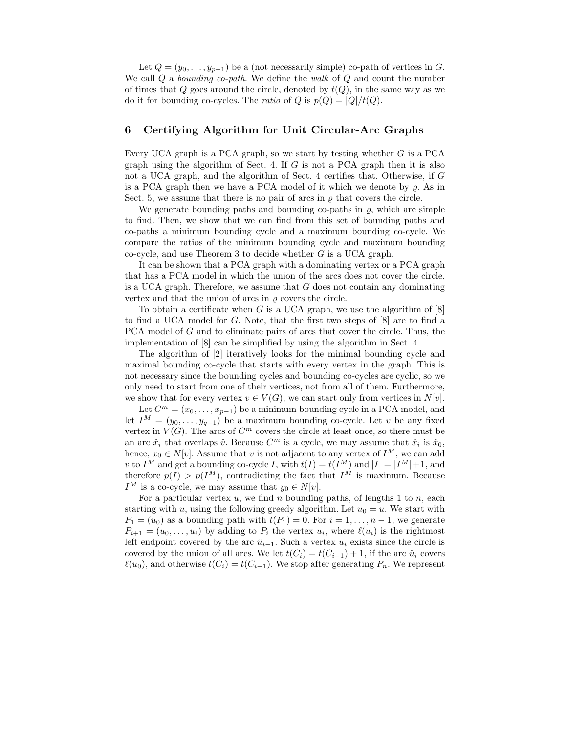Let  $Q = (y_0, \ldots, y_{p-1})$  be a (not necessarily simple) co-path of vertices in G. We call  $Q$  a *bounding co-path*. We define the *walk* of  $Q$  and count the number of times that Q goes around the circle, denoted by  $t(Q)$ , in the same way as we do it for bounding co-cycles. The *ratio* of Q is  $p(Q) = |Q|/t(Q)$ .

# 6 Certifying Algorithm for Unit Circular-Arc Graphs

Every UCA graph is a PCA graph, so we start by testing whether  $G$  is a PCA graph using the algorithm of Sect. 4. If  $G$  is not a PCA graph then it is also not a UCA graph, and the algorithm of Sect. 4 certifies that. Otherwise, if G is a PCA graph then we have a PCA model of it which we denote by  $\rho$ . As in Sect. 5, we assume that there is no pair of arcs in  $\rho$  that covers the circle.

We generate bounding paths and bounding co-paths in  $\rho$ , which are simple to find. Then, we show that we can find from this set of bounding paths and co-paths a minimum bounding cycle and a maximum bounding co-cycle. We compare the ratios of the minimum bounding cycle and maximum bounding co-cycle, and use Theorem 3 to decide whether G is a UCA graph.

It can be shown that a PCA graph with a dominating vertex or a PCA graph that has a PCA model in which the union of the arcs does not cover the circle, is a UCA graph. Therefore, we assume that  $G$  does not contain any dominating vertex and that the union of arcs in  $\rho$  covers the circle.

To obtain a certificate when G is a UCA graph, we use the algorithm of  $[8]$ to find a UCA model for G. Note, that the first two steps of [8] are to find a PCA model of G and to eliminate pairs of arcs that cover the circle. Thus, the implementation of [8] can be simplified by using the algorithm in Sect. 4.

The algorithm of [2] iteratively looks for the minimal bounding cycle and maximal bounding co-cycle that starts with every vertex in the graph. This is not necessary since the bounding cycles and bounding co-cycles are cyclic, so we only need to start from one of their vertices, not from all of them. Furthermore, we show that for every vertex  $v \in V(G)$ , we can start only from vertices in  $N[v]$ .

Let  $C^m = (x_0, \ldots, x_{p-1})$  be a minimum bounding cycle in a PCA model, and let  $I^M = (y_0, \ldots, y_{q-1})$  be a maximum bounding co-cycle. Let v be any fixed vertex in  $V(G)$ . The arcs of  $C<sup>m</sup>$  covers the circle at least once, so there must be an arc  $\hat{x}_i$  that overlaps  $\hat{v}$ . Because  $C^m$  is a cycle, we may assume that  $\hat{x}_i$  is  $\hat{x}_0$ , hence,  $x_0 \in N[v]$ . Assume that v is not adjacent to any vertex of  $I^M$ , we can add v to  $I^M$  and get a bounding co-cycle I, with  $t(I) = t(I^M)$  and  $|I| = |I^M|+1$ , and therefore  $p(I) > p(I^M)$ , contradicting the fact that  $I^M$  is maximum. Because  $I^M$  is a co-cycle, we may assume that  $y_0 \in N[v]$ .

For a particular vertex  $u$ , we find  $n$  bounding paths, of lengths 1 to  $n$ , each starting with u, using the following greedy algorithm. Let  $u_0 = u$ . We start with  $P_1 = (u_0)$  as a bounding path with  $t(P_1) = 0$ . For  $i = 1, ..., n-1$ , we generate  $P_{i+1} = (u_0, \ldots, u_i)$  by adding to  $P_i$  the vertex  $u_i$ , where  $\ell(u_i)$  is the rightmost left endpoint covered by the arc  $\hat{u}_{i-1}$ . Such a vertex  $u_i$  exists since the circle is covered by the union of all arcs. We let  $t(C_i) = t(C_{i-1}) + 1$ , if the arc  $\hat{u}_i$  covers  $\ell(u_0)$ , and otherwise  $t(C_i) = t(C_{i-1})$ . We stop after generating  $P_n$ . We represent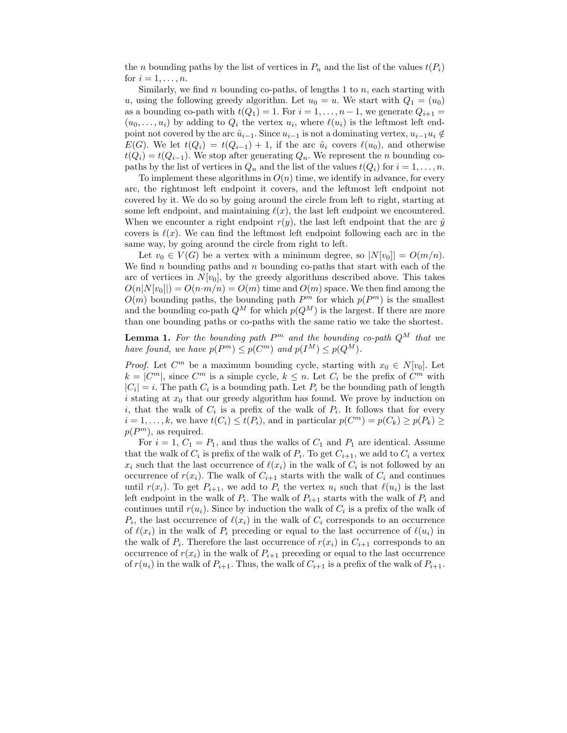the n bounding paths by the list of vertices in  $P_n$  and the list of the values  $t(P_i)$ for  $i = 1, \ldots, n$ .

Similarly, we find n bounding co-paths, of lengths 1 to  $n$ , each starting with u, using the following greedy algorithm. Let  $u_0 = u$ . We start with  $Q_1 = (u_0)$ as a bounding co-path with  $t(Q_1) = 1$ . For  $i = 1, ..., n - 1$ , we generate  $Q_{i+1} =$  $(u_0, \ldots, u_i)$  by adding to  $Q_i$  the vertex  $u_i$ , where  $\ell(u_i)$  is the leftmost left endpoint not covered by the arc  $\hat{u}_{i-1}$ . Since  $u_{i-1}$  is not a dominating vertex,  $u_{i-1}u_i \notin$  $E(G)$ . We let  $t(Q_i) = t(Q_{i-1}) + 1$ , if the arc  $\hat{u}_i$  covers  $\ell(u_0)$ , and otherwise  $t(Q_i) = t(Q_{i-1})$ . We stop after generating  $Q_n$ . We represent the *n* bounding copaths by the list of vertices in  $Q_n$  and the list of the values  $t(Q_i)$  for  $i = 1, \ldots, n$ .

To implement these algorithms in  $O(n)$  time, we identify in advance, for every arc, the rightmost left endpoint it covers, and the leftmost left endpoint not covered by it. We do so by going around the circle from left to right, starting at some left endpoint, and maintaining  $\ell(x)$ , the last left endpoint we encountered. When we encounter a right endpoint  $r(y)$ , the last left endpoint that the arc  $\hat{y}$ covers is  $\ell(x)$ . We can find the leftmost left endpoint following each arc in the same way, by going around the circle from right to left.

Let  $v_0 \in V(G)$  be a vertex with a minimum degree, so  $|N[v_0]| = O(m/n)$ . We find n bounding paths and n bounding co-paths that start with each of the arc of vertices in  $N[v_0]$ , by the greedy algorithms described above. This takes  $O(n|N[v_0]|) = O(n \cdot m/n) = O(m)$  time and  $O(m)$  space. We then find among the  $O(m)$  bounding paths, the bounding path  $P^m$  for which  $p(P^m)$  is the smallest and the bounding co-path  $Q^M$  for which  $p(Q^M)$  is the largest. If there are more than one bounding paths or co-paths with the same ratio we take the shortest.

**Lemma 1.** For the bounding path  $P^m$  and the bounding co-path  $Q^M$  that we have found, we have  $p(P^m) \leq p(C^m)$  and  $p(I^M) \leq p(Q^M)$ .

*Proof.* Let  $C^m$  be a maximum bounding cycle, starting with  $x_0 \in N[v_0]$ . Let  $k = |C^m|$ , since  $C^m$  is a simple cycle,  $k \leq n$ . Let  $C_i$  be the prefix of  $C^m$  with  $|C_i| = i$ . The path  $C_i$  is a bounding path. Let  $P_i$  be the bounding path of length i stating at  $x_0$  that our greedy algorithm has found. We prove by induction on i, that the walk of  $C_i$  is a prefix of the walk of  $P_i$ . It follows that for every  $i = 1, ..., k$ , we have  $t(C_i) \le t(P_i)$ , and in particular  $p(C^m) = p(C_k) \ge p(P_k) \ge$  $p(P<sup>m</sup>)$ , as required.

For  $i = 1, C_1 = P_1$ , and thus the walks of  $C_1$  and  $P_1$  are identical. Assume that the walk of  $C_i$  is prefix of the walk of  $P_i$ . To get  $C_{i+1}$ , we add to  $C_i$  a vertex  $x_i$  such that the last occurrence of  $\ell(x_i)$  in the walk of  $C_i$  is not followed by an occurrence of  $r(x_i)$ . The walk of  $C_{i+1}$  starts with the walk of  $C_i$  and continues until  $r(x_i)$ . To get  $P_{i+1}$ , we add to  $P_i$  the vertex  $u_i$  such that  $\ell(u_i)$  is the last left endpoint in the walk of  $P_i$ . The walk of  $P_{i+1}$  starts with the walk of  $P_i$  and continues until  $r(u_i)$ . Since by induction the walk of  $C_i$  is a prefix of the walk of  $P_i$ , the last occurrence of  $\ell(x_i)$  in the walk of  $C_i$  corresponds to an occurrence of  $\ell(x_i)$  in the walk of  $P_i$  preceding or equal to the last occurrence of  $\ell(u_i)$  in the walk of  $P_i$ . Therefore the last occurrence of  $r(x_i)$  in  $C_{i+1}$  corresponds to an occurrence of  $r(x_i)$  in the walk of  $P_{i+1}$  preceding or equal to the last occurrence of  $r(u_i)$  in the walk of  $P_{i+1}$ . Thus, the walk of  $C_{i+1}$  is a prefix of the walk of  $P_{i+1}$ .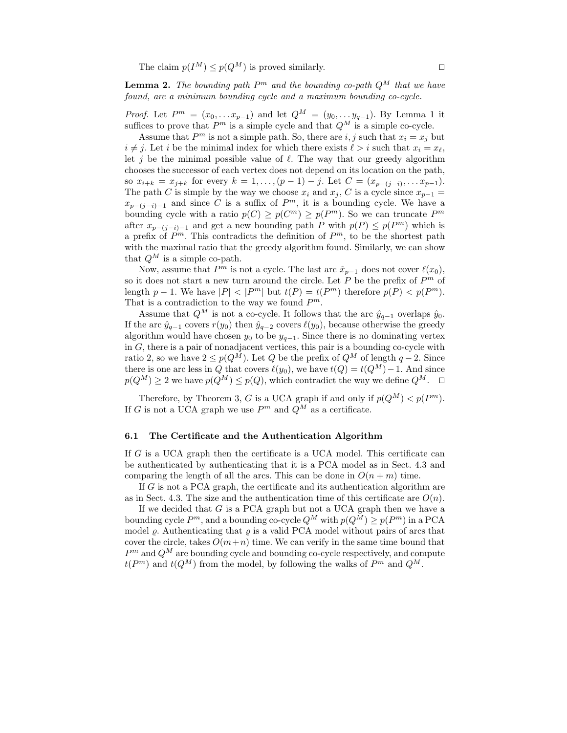The claim  $p(I^M) \leq p(Q^M)$  is proved similarly.

**Lemma 2.** The bounding path  $P^m$  and the bounding co-path  $Q^M$  that we have found, are a minimum bounding cycle and a maximum bounding co-cycle.

*Proof.* Let  $P^m = (x_0, \ldots x_{p-1})$  and let  $Q^M = (y_0, \ldots y_{q-1})$ . By Lemma 1 it suffices to prove that  $P^m$  is a simple cycle and that  $Q^M$  is a simple co-cycle.

Assume that  $P^m$  is not a simple path. So, there are i, j such that  $x_i = x_j$  but  $i \neq j$ . Let i be the minimal index for which there exists  $\ell > i$  such that  $x_i = x_\ell$ , let j be the minimal possible value of  $\ell$ . The way that our greedy algorithm chooses the successor of each vertex does not depend on its location on the path, so  $x_{i+k} = x_{j+k}$  for every  $k = 1, \ldots, (p-1) - j$ . Let  $C = (x_{p-(j-i)}, \ldots, x_{p-1})$ . The path C is simple by the way we choose  $x_i$  and  $x_j$ , C is a cycle since  $x_{p-1} =$  $x_{p-(j-i)-1}$  and since C is a suffix of  $P^m$ , it is a bounding cycle. We have a bounding cycle with a ratio  $p(C) \geq p(C^m) \geq p(P^m)$ . So we can truncate  $P^m$ after  $x_{p-(j-i)-1}$  and get a new bounding path P with  $p(P) \leq p(P^m)$  which is a prefix of  $P^m$ . This contradicts the definition of  $P^m$ , to be the shortest path with the maximal ratio that the greedy algorithm found. Similarly, we can show that  $Q^M$  is a simple co-path.

Now, assume that  $P^m$  is not a cycle. The last arc  $\hat{x}_{p-1}$  does not cover  $\ell(x_0)$ , so it does not start a new turn around the circle. Let  $P$  be the prefix of  $P<sup>m</sup>$  of length  $p-1$ . We have  $|P| < |P^m|$  but  $t(P) = t(P^m)$  therefore  $p(P) < p(P^m)$ . That is a contradiction to the way we found  $P^m$ .

Assume that  $Q^M$  is not a co-cycle. It follows that the arc  $\hat{y}_{q-1}$  overlaps  $\hat{y}_0$ . If the arc  $\hat{y}_{q-1}$  covers  $r(y_0)$  then  $\hat{y}_{q-2}$  covers  $\ell(y_0)$ , because otherwise the greedy algorithm would have chosen  $y_0$  to be  $y_{q-1}$ . Since there is no dominating vertex in  $G$ , there is a pair of nonadjacent vertices, this pair is a bounding co-cycle with ratio 2, so we have  $2 \leq p(Q^M)$ . Let Q be the prefix of  $Q^M$  of length  $q-2$ . Since there is one arc less in Q that covers  $\ell(y_0)$ , we have  $t(Q) = t(Q^M) - 1$ . And since  $p(Q^M) \ge 2$  we have  $p(Q^M) \le p(Q)$ , which contradict the way we define  $Q^M$ .  $\Box$ 

Therefore, by Theorem 3, G is a UCA graph if and only if  $p(Q^M) < p(P^m)$ . If G is not a UCA graph we use  $P^m$  and  $Q^M$  as a certificate.

#### 6.1 The Certificate and the Authentication Algorithm

If G is a UCA graph then the certificate is a UCA model. This certificate can be authenticated by authenticating that it is a PCA model as in Sect. 4.3 and comparing the length of all the arcs. This can be done in  $O(n+m)$  time.

If G is not a PCA graph, the certificate and its authentication algorithm are as in Sect. 4.3. The size and the authentication time of this certificate are  $O(n)$ .

If we decided that  $G$  is a PCA graph but not a UCA graph then we have a bounding cycle  $P^m$ , and a bounding co-cycle  $Q^M$  with  $p(Q^M) \geq p(P^m)$  in a PCA model  $\rho$ . Authenticating that  $\rho$  is a valid PCA model without pairs of arcs that cover the circle, takes  $O(m+n)$  time. We can verify in the same time bound that  $P<sup>m</sup>$  and  $Q<sup>M</sup>$  are bounding cycle and bounding co-cycle respectively, and compute  $t(P^m)$  and  $t(Q^M)$  from the model, by following the walks of  $P^m$  and  $Q^M$ .